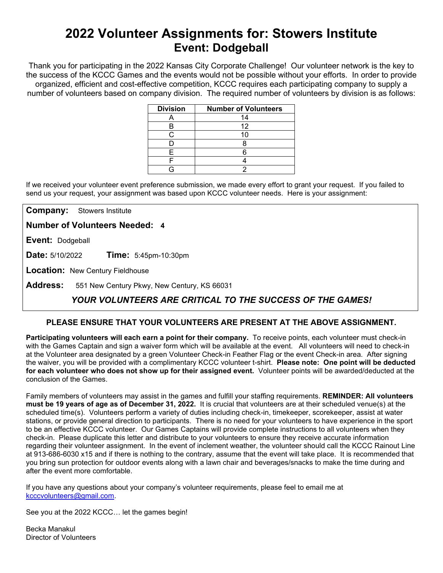# **2022 Volunteer Assignments for: Stowers Institute Event: Dodgeball**

Thank you for participating in the 2022 Kansas City Corporate Challenge! Our volunteer network is the key to the success of the KCCC Games and the events would not be possible without your efforts.In order to provide organized, efficient and cost-effective competition, KCCC requires each participating company to supply a number of volunteers based on company division. The required number of volunteers by division is as follows:

| <b>Division</b> | <b>Number of Volunteers</b> |
|-----------------|-----------------------------|
|                 | 14                          |
| В               | 12                          |
|                 |                             |
|                 |                             |
| F               |                             |
|                 |                             |
|                 |                             |

If we received your volunteer event preference submission, we made every effort to grant your request. If you failed to send us your request, your assignment was based upon KCCC volunteer needs. Here is your assignment:

**Company:** Stowers Institute

**Number of Volunteers Needed: 4**

**Event:** Dodgeball

**Date:** 5/10/2022 **Time:** 5:45pm-10:30pm

**Location:** New Century Fieldhouse

**Address:** 551 New Century Pkwy, New Century, KS 66031

## *YOUR VOLUNTEERS ARE CRITICAL TO THE SUCCESS OF THE GAMES!*

### **PLEASE ENSURE THAT YOUR VOLUNTEERS ARE PRESENT AT THE ABOVE ASSIGNMENT.**

**Participating volunteers will each earn a point for their company.** To receive points, each volunteer must check-in with the Games Captain and sign a waiver form which will be available at the event. All volunteers will need to check-in at the Volunteer area designated by a green Volunteer Check-in Feather Flag or the event Check-in area. After signing the waiver, you will be provided with a complimentary KCCC volunteer t-shirt. **Please note: One point will be deducted for each volunteer who does not show up for their assigned event.** Volunteer points will be awarded/deducted at the conclusion of the Games.

Family members of volunteers may assist in the games and fulfill your staffing requirements. **REMINDER: All volunteers must be 19 years of age as of December 31, 2022.** It is crucial that volunteers are at their scheduled venue(s) at the scheduled time(s). Volunteers perform a variety of duties including check-in, timekeeper, scorekeeper, assist at water stations, or provide general direction to participants. There is no need for your volunteers to have experience in the sport to be an effective KCCC volunteer. Our Games Captains will provide complete instructions to all volunteers when they check-in. Please duplicate this letter and distribute to your volunteers to ensure they receive accurate information regarding their volunteer assignment. In the event of inclement weather, the volunteer should call the KCCC Rainout Line at 913-686-6030 x15 and if there is nothing to the contrary, assume that the event will take place. It is recommended that you bring sun protection for outdoor events along with a lawn chair and beverages/snacks to make the time during and after the event more comfortable.

If you have any questions about your company's volunteer requirements, please feel to email me at [kcccvolunteers@gmail.com.](mailto:kcccvolunteers@gmail.com)

See you at the 2022 KCCC… let the games begin!

Becka Manakul Director of Volunteers